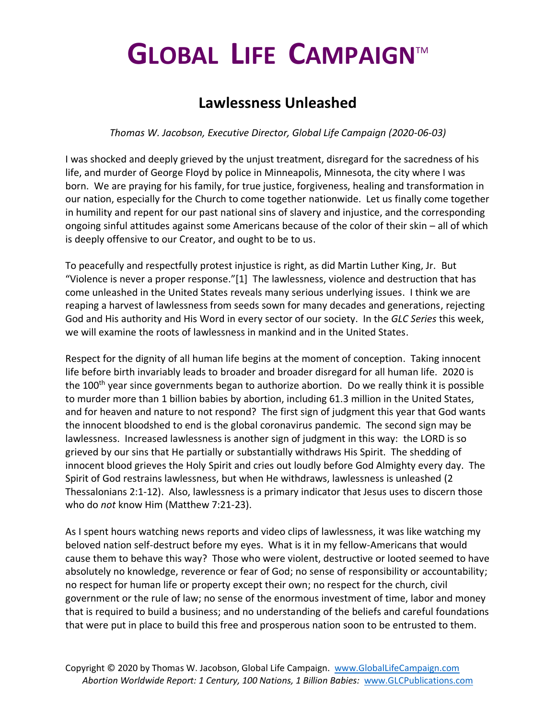## **GLOBAL LIFE CAMPAIGN**TM

## **Lawlessness Unleashed**

*Thomas W. Jacobson, Executive Director, Global Life Campaign (2020-06-03)*

I was shocked and deeply grieved by the unjust treatment, disregard for the sacredness of his life, and murder of George Floyd by police in Minneapolis, Minnesota, the city where I was born. We are praying for his family, for true justice, forgiveness, healing and transformation in our nation, especially for the Church to come together nationwide. Let us finally come together in humility and repent for our past national sins of slavery and injustice, and the corresponding ongoing sinful attitudes against some Americans because of the color of their skin – all of which is deeply offensive to our Creator, and ought to be to us.

To peacefully and respectfully protest injustice is right, as did Martin Luther King, Jr. But "Violence is never a proper response."[1] The lawlessness, violence and destruction that has come unleashed in the United States reveals many serious underlying issues. I think we are reaping a harvest of lawlessness from seeds sown for many decades and generations, rejecting God and His authority and His Word in every sector of our society. In the *GLC Series* this week, we will examine the roots of lawlessness in mankind and in the United States.

Respect for the dignity of all human life begins at the moment of conception. Taking innocent life before birth invariably leads to broader and broader disregard for all human life. 2020 is the 100<sup>th</sup> year since governments began to authorize abortion. Do we really think it is possible to murder more than 1 billion babies by abortion, including 61.3 million in the United States, and for heaven and nature to not respond? The first sign of judgment this year that God wants the innocent bloodshed to end is the global coronavirus pandemic. The second sign may be lawlessness. Increased lawlessness is another sign of judgment in this way: the LORD is so grieved by our sins that He partially or substantially withdraws His Spirit. The shedding of innocent blood grieves the Holy Spirit and cries out loudly before God Almighty every day. The Spirit of God restrains lawlessness, but when He withdraws, lawlessness is unleashed (2 Thessalonians 2:1-12). Also, lawlessness is a primary indicator that Jesus uses to discern those who do *not* know Him (Matthew 7:21-23).

As I spent hours watching news reports and video clips of lawlessness, it was like watching my beloved nation self-destruct before my eyes. What is it in my fellow-Americans that would cause them to behave this way? Those who were violent, destructive or looted seemed to have absolutely no knowledge, reverence or fear of God; no sense of responsibility or accountability; no respect for human life or property except their own; no respect for the church, civil government or the rule of law; no sense of the enormous investment of time, labor and money that is required to build a business; and no understanding of the beliefs and careful foundations that were put in place to build this free and prosperous nation soon to be entrusted to them.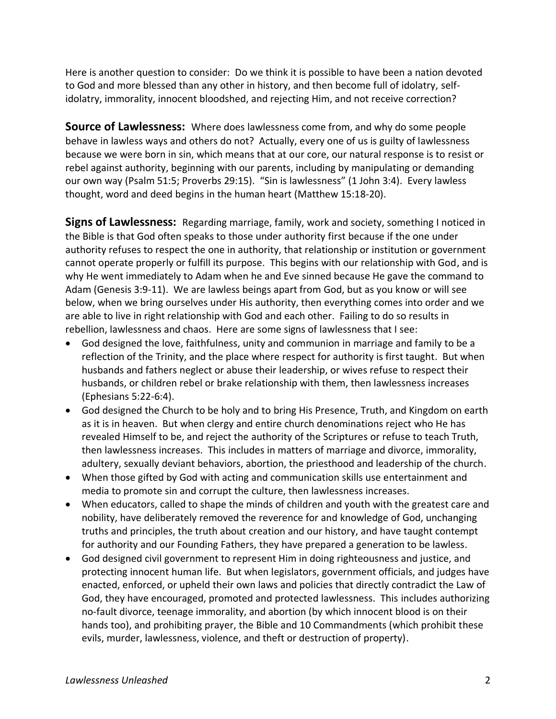Here is another question to consider: Do we think it is possible to have been a nation devoted to God and more blessed than any other in history, and then become full of idolatry, selfidolatry, immorality, innocent bloodshed, and rejecting Him, and not receive correction?

**Source of Lawlessness:** Where does lawlessness come from, and why do some people behave in lawless ways and others do not? Actually, every one of us is guilty of lawlessness because we were born in sin, which means that at our core, our natural response is to resist or rebel against authority, beginning with our parents, including by manipulating or demanding our own way (Psalm 51:5; Proverbs 29:15). "Sin is lawlessness" (1 John 3:4). Every lawless thought, word and deed begins in the human heart (Matthew 15:18-20).

**Signs of Lawlessness:** Regarding marriage, family, work and society, something I noticed in the Bible is that God often speaks to those under authority first because if the one under authority refuses to respect the one in authority, that relationship or institution or government cannot operate properly or fulfill its purpose. This begins with our relationship with God, and is why He went immediately to Adam when he and Eve sinned because He gave the command to Adam (Genesis 3:9-11). We are lawless beings apart from God, but as you know or will see below, when we bring ourselves under His authority, then everything comes into order and we are able to live in right relationship with God and each other. Failing to do so results in rebellion, lawlessness and chaos. Here are some signs of lawlessness that I see:

- God designed the love, faithfulness, unity and communion in marriage and family to be a reflection of the Trinity, and the place where respect for authority is first taught. But when husbands and fathers neglect or abuse their leadership, or wives refuse to respect their husbands, or children rebel or brake relationship with them, then lawlessness increases (Ephesians 5:22-6:4).
- God designed the Church to be holy and to bring His Presence, Truth, and Kingdom on earth as it is in heaven. But when clergy and entire church denominations reject who He has revealed Himself to be, and reject the authority of the Scriptures or refuse to teach Truth, then lawlessness increases. This includes in matters of marriage and divorce, immorality, adultery, sexually deviant behaviors, abortion, the priesthood and leadership of the church.
- When those gifted by God with acting and communication skills use entertainment and media to promote sin and corrupt the culture, then lawlessness increases.
- When educators, called to shape the minds of children and youth with the greatest care and nobility, have deliberately removed the reverence for and knowledge of God, unchanging truths and principles, the truth about creation and our history, and have taught contempt for authority and our Founding Fathers, they have prepared a generation to be lawless.
- God designed civil government to represent Him in doing righteousness and justice, and protecting innocent human life. But when legislators, government officials, and judges have enacted, enforced, or upheld their own laws and policies that directly contradict the Law of God, they have encouraged, promoted and protected lawlessness. This includes authorizing no-fault divorce, teenage immorality, and abortion (by which innocent blood is on their hands too), and prohibiting prayer, the Bible and 10 Commandments (which prohibit these evils, murder, lawlessness, violence, and theft or destruction of property).